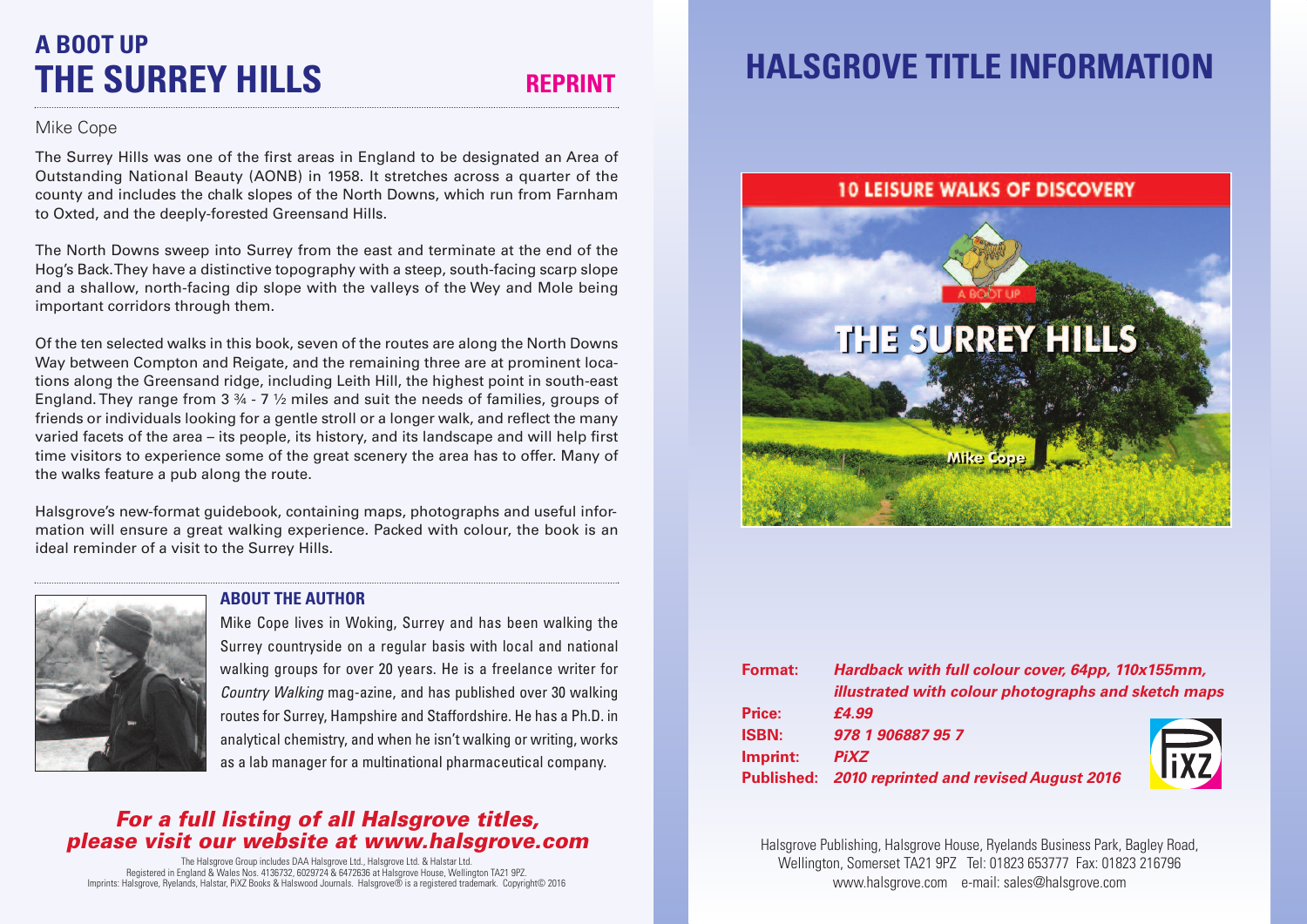## **A BOOT UP THE SURREY HILLS REPRINT**

#### Mike Cope

The Surrey Hills was one of the first areas in England to be designated an Area of Outstanding National Beauty (AONB) in 1958. It stretches across a quarter of the county and includes the chalk slopes of the North Downs, which run from Farnham to Oxted, and the deeply-forested Greensand Hills.

The North Downs sweep into Surrey from the east and terminate at the end of the Hog's Back.They have a distinctive topography with a steep, south-facing scarp slope and a shallow, north-facing dip slope with the valleys of the Wey and Mole being important corridors through them.

Of the ten selected walks in this book, seven of the routes are along the North Downs Way between Compton and Reigate, and the remaining three are at prominent locations along the Greensand ridge, including Leith Hill, the highest point in south-east England. They range from  $3\frac{3}{4}$  - 7  $\frac{1}{2}$  miles and suit the needs of families, groups of friends or individuals looking for a gentle stroll or a longer walk, and reflect the many varied facets of the area – its people, its history, and its landscape and will help first time visitors to experience some of the great scenery the area has to offer. Many of the walks feature a pub along the route.

Halsgrove's new-format guidebook, containing maps, photographs and useful information will ensure a great walking experience. Packed with colour, the book is an ideal reminder of a visit to the Surrey Hills.

### **ABOUT THE AUTHOR**



Mike Cope lives in Woking, Surrey and has been walking the Surrey countryside on a regular basis with local and national walking groups for over 20 years. He is a freelance writer for *Country Walking* mag-azine, and has published over 30 walking routes for Surrey, Hampshire and Staffordshire. He has a Ph.D. in analytical chemistry, and when he isn't walking or writing, works as a lab manager for a multinational pharmaceutical company.

#### *For a full listing of all Halsgrove titles, please visit our website at www.halsgrove.com*

The Halsgrove Group includes DAA Halsgrove Ltd., Halsgrove Ltd. & Halstar Ltd. Registered in England & Wales Nos. 4136732, 6029724 & 6472636 at Halsgrove House, Wellington TA21 9PZ. Imprints: Halsgrove, Ryelands, Halstar, PiXZ Books & Halswood Journals. Halsgrove® is a registered trademark. Copyright© 2016

# **HALSGROVE TITLE INFORMATION**

#### **10 LEISURE WALKS OF DISCOVERY**



| <b>Format:</b> | Hardback with full colour cover, 64pp, 110x155mm,<br>illustrated with colour photographs and sketch maps |             |
|----------------|----------------------------------------------------------------------------------------------------------|-------------|
|                |                                                                                                          |             |
| Price:         | £4.99                                                                                                    |             |
| <b>ISBN:</b>   | 978 1 906887 95 7                                                                                        |             |
| Imprint:       | <b>PiXZ</b>                                                                                              | <b>IFXZ</b> |
|                | Published: 2010 reprinted and revised August 2016                                                        |             |

Halsgrove Publishing, Halsgrove House, Ryelands Business Park, Bagley Road, Wellington, Somerset TA21 9PZ Tel: 01823 653777 Fax: 01823 216796 www.halsgrove.com e-mail: sales@halsgrove.com